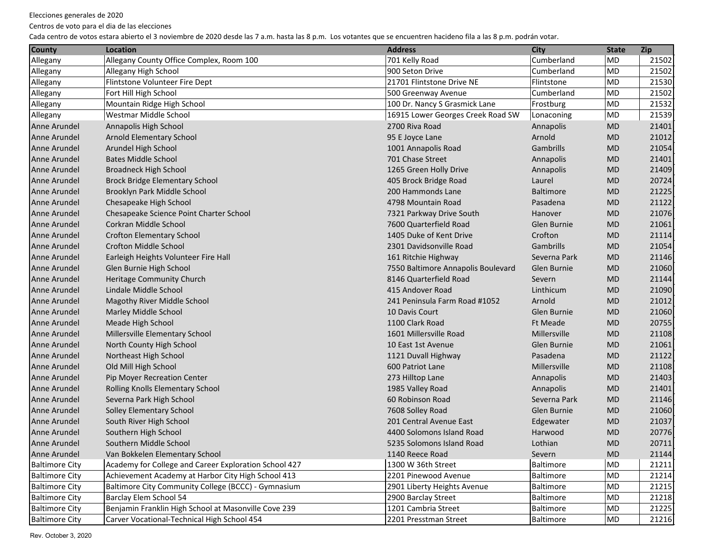Centros de voto para el dia de las elecciones

| <b>County</b>         | Location                                              | <b>Address</b>                     | <b>City</b>      | <b>State</b> | <b>Zip</b> |
|-----------------------|-------------------------------------------------------|------------------------------------|------------------|--------------|------------|
| Allegany              | Allegany County Office Complex, Room 100              | 701 Kelly Road                     | Cumberland       | <b>MD</b>    | 21502      |
| Allegany              | Allegany High School                                  | 900 Seton Drive                    | Cumberland       | MD           | 21502      |
| Allegany              | Flintstone Volunteer Fire Dept                        | 21701 Flintstone Drive NE          | Flintstone       | MD           | 21530      |
| Allegany              | Fort Hill High School                                 | 500 Greenway Avenue                | Cumberland       | <b>MD</b>    | 21502      |
| Allegany              | Mountain Ridge High School                            | 100 Dr. Nancy S Grasmick Lane      | Frostburg        | <b>MD</b>    | 21532      |
| Allegany              | Westmar Middle School                                 | 16915 Lower Georges Creek Road SW  | Lonaconing       | <b>MD</b>    | 21539      |
| Anne Arundel          | Annapolis High School                                 | 2700 Riva Road                     | Annapolis        | <b>MD</b>    | 21401      |
| Anne Arundel          | Arnold Elementary School                              | 95 E Joyce Lane                    | Arnold           | <b>MD</b>    | 21012      |
| Anne Arundel          | Arundel High School                                   | 1001 Annapolis Road                | Gambrills        | <b>MD</b>    | 21054      |
| Anne Arundel          | <b>Bates Middle School</b>                            | 701 Chase Street                   | Annapolis        | <b>MD</b>    | 21401      |
| Anne Arundel          | <b>Broadneck High School</b>                          | 1265 Green Holly Drive             | Annapolis        | <b>MD</b>    | 21409      |
| Anne Arundel          | <b>Brock Bridge Elementary School</b>                 | 405 Brock Bridge Road              | Laurel           | <b>MD</b>    | 20724      |
| Anne Arundel          | Brooklyn Park Middle School                           | 200 Hammonds Lane                  | <b>Baltimore</b> | <b>MD</b>    | 21225      |
| Anne Arundel          | Chesapeake High School                                | 4798 Mountain Road                 | Pasadena         | <b>MD</b>    | 21122      |
| Anne Arundel          | Chesapeake Science Point Charter School               | 7321 Parkway Drive South           | Hanover          | <b>MD</b>    | 21076      |
| Anne Arundel          | Corkran Middle School                                 | 7600 Quarterfield Road             | Glen Burnie      | <b>MD</b>    | 21061      |
| Anne Arundel          | <b>Crofton Elementary School</b>                      | 1405 Duke of Kent Drive            | Crofton          | <b>MD</b>    | 21114      |
| Anne Arundel          | <b>Crofton Middle School</b>                          | 2301 Davidsonville Road            | Gambrills        | <b>MD</b>    | 21054      |
| Anne Arundel          | Earleigh Heights Volunteer Fire Hall                  | 161 Ritchie Highway                | Severna Park     | <b>MD</b>    | 21146      |
| Anne Arundel          | Glen Burnie High School                               | 7550 Baltimore Annapolis Boulevard | Glen Burnie      | <b>MD</b>    | 21060      |
| Anne Arundel          | Heritage Community Church                             | 8146 Quarterfield Road             | Severn           | <b>MD</b>    | 21144      |
| Anne Arundel          | Lindale Middle School                                 | 415 Andover Road                   | Linthicum        | <b>MD</b>    | 21090      |
| Anne Arundel          | Magothy River Middle School                           | 241 Peninsula Farm Road #1052      | Arnold           | <b>MD</b>    | 21012      |
| Anne Arundel          | Marley Middle School                                  | 10 Davis Court                     | Glen Burnie      | <b>MD</b>    | 21060      |
| Anne Arundel          | Meade High School                                     | 1100 Clark Road                    | Ft Meade         | <b>MD</b>    | 20755      |
| Anne Arundel          | Millersville Elementary School                        | 1601 Millersville Road             | Millersville     | <b>MD</b>    | 21108      |
| Anne Arundel          | North County High School                              | 10 East 1st Avenue                 | Glen Burnie      | <b>MD</b>    | 21061      |
| Anne Arundel          | Northeast High School                                 | 1121 Duvall Highway                | Pasadena         | <b>MD</b>    | 21122      |
| Anne Arundel          | Old Mill High School                                  | 600 Patriot Lane                   | Millersville     | <b>MD</b>    | 21108      |
| Anne Arundel          | Pip Moyer Recreation Center                           | 273 Hilltop Lane                   | Annapolis        | <b>MD</b>    | 21403      |
| Anne Arundel          | Rolling Knolls Elementary School                      | 1985 Valley Road                   | Annapolis        | <b>MD</b>    | 21401      |
| Anne Arundel          | Severna Park High School                              | 60 Robinson Road                   | Severna Park     | <b>MD</b>    | 21146      |
| Anne Arundel          | <b>Solley Elementary School</b>                       | 7608 Solley Road                   | Glen Burnie      | <b>MD</b>    | 21060      |
| Anne Arundel          | South River High School                               | 201 Central Avenue East            | Edgewater        | <b>MD</b>    | 21037      |
| Anne Arundel          | Southern High School                                  | 4400 Solomons Island Road          | Harwood          | <b>MD</b>    | 20776      |
| Anne Arundel          | Southern Middle School                                | 5235 Solomons Island Road          | Lothian          | <b>MD</b>    | 20711      |
| Anne Arundel          | Van Bokkelen Elementary School                        | 1140 Reece Road                    | Severn           | MD           | 21144      |
| <b>Baltimore City</b> | Academy for College and Career Exploration School 427 | 1300 W 36th Street                 | <b>Baltimore</b> | MD           | 21211      |
| <b>Baltimore City</b> | Achievement Academy at Harbor City High School 413    | 2201 Pinewood Avenue               | Baltimore        | MD           | 21214      |
| <b>Baltimore City</b> | Baltimore City Community College (BCCC) - Gymnasium   | 2901 Liberty Heights Avenue        | Baltimore        | MD           | 21215      |
| <b>Baltimore City</b> | Barclay Elem School 54                                | 2900 Barclay Street                | Baltimore        | MD           | 21218      |
| <b>Baltimore City</b> | Benjamin Franklin High School at Masonville Cove 239  | 1201 Cambria Street                | Baltimore        | MD           | 21225      |
| <b>Baltimore City</b> | Carver Vocational-Technical High School 454           | 2201 Presstman Street              | Baltimore        | MD           | 21216      |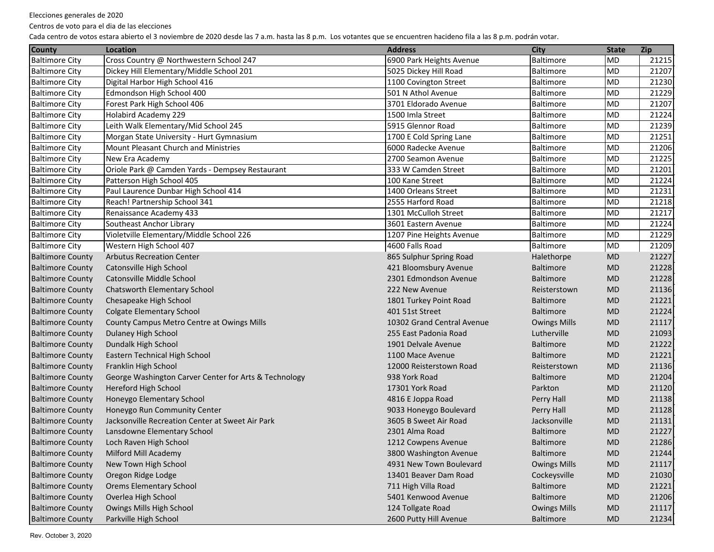Centros de voto para el dia de las elecciones

| <b>County</b>           | Location                                              | <b>Address</b>             | <b>City</b>         | <b>State</b> | Zip   |
|-------------------------|-------------------------------------------------------|----------------------------|---------------------|--------------|-------|
| <b>Baltimore City</b>   | Cross Country @ Northwestern School 247               | 6900 Park Heights Avenue   | Baltimore           | <b>MD</b>    | 21215 |
| <b>Baltimore City</b>   | Dickey Hill Elementary/Middle School 201              | 5025 Dickey Hill Road      | Baltimore           | <b>MD</b>    | 21207 |
| <b>Baltimore City</b>   | Digital Harbor High School 416                        | 1100 Covington Street      | Baltimore           | <b>MD</b>    | 21230 |
| <b>Baltimore City</b>   | Edmondson High School 400                             | 501 N Athol Avenue         | Baltimore           | <b>MD</b>    | 21229 |
| <b>Baltimore City</b>   | Forest Park High School 406                           | 3701 Eldorado Avenue       | Baltimore           | <b>MD</b>    | 21207 |
| <b>Baltimore City</b>   | Holabird Academy 229                                  | 1500 Imla Street           | Baltimore           | <b>MD</b>    | 21224 |
| <b>Baltimore City</b>   | Leith Walk Elementary/Mid School 245                  | 5915 Glennor Road          | Baltimore           | <b>MD</b>    | 21239 |
| <b>Baltimore City</b>   | Morgan State University - Hurt Gymnasium              | 1700 E Cold Spring Lane    | Baltimore           | <b>MD</b>    | 21251 |
| <b>Baltimore City</b>   | Mount Pleasant Church and Ministries                  | 6000 Radecke Avenue        | Baltimore           | <b>MD</b>    | 21206 |
| <b>Baltimore City</b>   | New Era Academy                                       | 2700 Seamon Avenue         | Baltimore           | <b>MD</b>    | 21225 |
| <b>Baltimore City</b>   | Oriole Park @ Camden Yards - Dempsey Restaurant       | 333 W Camden Street        | Baltimore           | <b>MD</b>    | 21201 |
| <b>Baltimore City</b>   | Patterson High School 405                             | 100 Kane Street            | Baltimore           | <b>MD</b>    | 21224 |
| <b>Baltimore City</b>   | Paul Laurence Dunbar High School 414                  | 1400 Orleans Street        | Baltimore           | <b>MD</b>    | 21231 |
| <b>Baltimore City</b>   | Reach! Partnership School 341                         | 2555 Harford Road          | Baltimore           | MD           | 21218 |
| <b>Baltimore City</b>   | Renaissance Academy 433                               | 1301 McCulloh Street       | Baltimore           | MD           | 21217 |
| <b>Baltimore City</b>   | Southeast Anchor Library                              | 3601 Eastern Avenue        | Baltimore           | <b>MD</b>    | 21224 |
| <b>Baltimore City</b>   | Violetville Elementary/Middle School 226              | 1207 Pine Heights Avenue   | Baltimore           | <b>MD</b>    | 21229 |
| <b>Baltimore City</b>   | Western High School 407                               | 4600 Falls Road            | Baltimore           | MD           | 21209 |
| <b>Baltimore County</b> | <b>Arbutus Recreation Center</b>                      | 865 Sulphur Spring Road    | Halethorpe          | <b>MD</b>    | 21227 |
| <b>Baltimore County</b> | Catonsville High School                               | 421 Bloomsbury Avenue      | Baltimore           | <b>MD</b>    | 21228 |
| <b>Baltimore County</b> | Catonsville Middle School                             | 2301 Edmondson Avenue      | <b>Baltimore</b>    | <b>MD</b>    | 21228 |
| <b>Baltimore County</b> | Chatsworth Elementary School                          | 222 New Avenue             | Reisterstown        | <b>MD</b>    | 21136 |
| <b>Baltimore County</b> | Chesapeake High School                                | 1801 Turkey Point Road     | <b>Baltimore</b>    | <b>MD</b>    | 21221 |
| <b>Baltimore County</b> | <b>Colgate Elementary School</b>                      | 401 51st Street            | <b>Baltimore</b>    | <b>MD</b>    | 21224 |
| <b>Baltimore County</b> | County Campus Metro Centre at Owings Mills            | 10302 Grand Central Avenue | <b>Owings Mills</b> | <b>MD</b>    | 21117 |
| <b>Baltimore County</b> | Dulaney High School                                   | 255 East Padonia Road      | Lutherville         | <b>MD</b>    | 21093 |
| <b>Baltimore County</b> | Dundalk High School                                   | 1901 Delvale Avenue        | <b>Baltimore</b>    | <b>MD</b>    | 21222 |
| <b>Baltimore County</b> | Eastern Technical High School                         | 1100 Mace Avenue           | <b>Baltimore</b>    | <b>MD</b>    | 21221 |
| <b>Baltimore County</b> | Franklin High School                                  | 12000 Reisterstown Road    | Reisterstown        | <b>MD</b>    | 21136 |
| <b>Baltimore County</b> | George Washington Carver Center for Arts & Technology | 938 York Road              | Baltimore           | <b>MD</b>    | 21204 |
| <b>Baltimore County</b> | Hereford High School                                  | 17301 York Road            | Parkton             | <b>MD</b>    | 21120 |
| <b>Baltimore County</b> | Honeygo Elementary School                             | 4816 E Joppa Road          | Perry Hall          | <b>MD</b>    | 21138 |
| <b>Baltimore County</b> | Honeygo Run Community Center                          | 9033 Honeygo Boulevard     | Perry Hall          | <b>MD</b>    | 21128 |
| <b>Baltimore County</b> | Jacksonville Recreation Center at Sweet Air Park      | 3605 B Sweet Air Road      | Jacksonville        | <b>MD</b>    | 21131 |
| <b>Baltimore County</b> | Lansdowne Elementary School                           | 2301 Alma Road             | Baltimore           | <b>MD</b>    | 21227 |
| <b>Baltimore County</b> | Loch Raven High School                                | 1212 Cowpens Avenue        | <b>Baltimore</b>    | <b>MD</b>    | 21286 |
| <b>Baltimore County</b> | Milford Mill Academy                                  | 3800 Washington Avenue     | <b>Baltimore</b>    | MD           | 21244 |
| <b>Baltimore County</b> | New Town High School                                  | 4931 New Town Boulevard    | <b>Owings Mills</b> | MD           | 21117 |
| <b>Baltimore County</b> | Oregon Ridge Lodge                                    | 13401 Beaver Dam Road      | Cockeysville        | MD           | 21030 |
| <b>Baltimore County</b> | <b>Orems Elementary School</b>                        | 711 High Villa Road        | Baltimore           | MD           | 21221 |
| <b>Baltimore County</b> | Overlea High School                                   | 5401 Kenwood Avenue        | Baltimore           | MD           | 21206 |
| <b>Baltimore County</b> | Owings Mills High School                              | 124 Tollgate Road          | <b>Owings Mills</b> | MD           | 21117 |
| <b>Baltimore County</b> | Parkville High School                                 | 2600 Putty Hill Avenue     | Baltimore           | <b>MD</b>    | 21234 |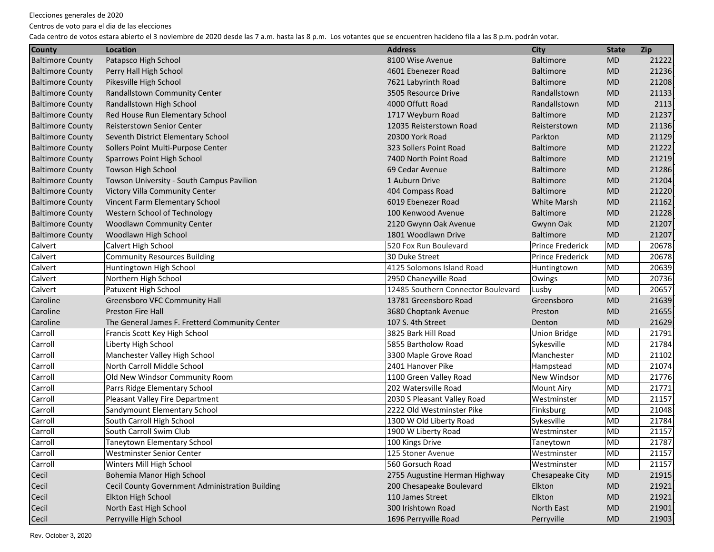Centros de voto para el dia de las elecciones

| <b>County</b>           | Location                                        | <b>Address</b>                     | <b>City</b>             | <b>State</b> | <b>Zip</b> |
|-------------------------|-------------------------------------------------|------------------------------------|-------------------------|--------------|------------|
| <b>Baltimore County</b> | Patapsco High School                            | 8100 Wise Avenue                   | <b>Baltimore</b>        | <b>MD</b>    | 21222      |
| <b>Baltimore County</b> | Perry Hall High School                          | 4601 Ebenezer Road                 | <b>Baltimore</b>        | <b>MD</b>    | 21236      |
| <b>Baltimore County</b> | Pikesville High School                          | 7621 Labyrinth Road                | <b>Baltimore</b>        | <b>MD</b>    | 21208      |
| <b>Baltimore County</b> | Randallstown Community Center                   | 3505 Resource Drive                | Randallstown            | <b>MD</b>    | 21133      |
| <b>Baltimore County</b> | Randallstown High School                        | 4000 Offutt Road                   | Randallstown            | <b>MD</b>    | 2113       |
| <b>Baltimore County</b> | Red House Run Elementary School                 | 1717 Weyburn Road                  | <b>Baltimore</b>        | <b>MD</b>    | 21237      |
| <b>Baltimore County</b> | <b>Reisterstown Senior Center</b>               | 12035 Reisterstown Road            | Reisterstown            | <b>MD</b>    | 21136      |
| <b>Baltimore County</b> | Seventh District Elementary School              | 20300 York Road                    | Parkton                 | <b>MD</b>    | 21129      |
| <b>Baltimore County</b> | Sollers Point Multi-Purpose Center              | 323 Sollers Point Road             | <b>Baltimore</b>        | <b>MD</b>    | 21222      |
| <b>Baltimore County</b> | Sparrows Point High School                      | 7400 North Point Road              | <b>Baltimore</b>        | <b>MD</b>    | 21219      |
| <b>Baltimore County</b> | Towson High School                              | 69 Cedar Avenue                    | <b>Baltimore</b>        | <b>MD</b>    | 21286      |
| <b>Baltimore County</b> | Towson University - South Campus Pavilion       | 1 Auburn Drive                     | <b>Baltimore</b>        | <b>MD</b>    | 21204      |
| <b>Baltimore County</b> | Victory Villa Community Center                  | 404 Compass Road                   | <b>Baltimore</b>        | <b>MD</b>    | 21220      |
| <b>Baltimore County</b> | Vincent Farm Elementary School                  | 6019 Ebenezer Road                 | <b>White Marsh</b>      | <b>MD</b>    | 21162      |
| <b>Baltimore County</b> | Western School of Technology                    | 100 Kenwood Avenue                 | <b>Baltimore</b>        | <b>MD</b>    | 21228      |
| <b>Baltimore County</b> | <b>Woodlawn Community Center</b>                | 2120 Gwynn Oak Avenue              | Gwynn Oak               | <b>MD</b>    | 21207      |
| <b>Baltimore County</b> | Woodlawn High School                            | 1801 Woodlawn Drive                | <b>Baltimore</b>        | <b>MD</b>    | 21207      |
| Calvert                 | Calvert High School                             | 520 Fox Run Boulevard              | <b>Prince Frederick</b> | <b>MD</b>    | 20678      |
| Calvert                 | <b>Community Resources Building</b>             | 30 Duke Street                     | <b>Prince Frederick</b> | MD           | 20678      |
| Calvert                 | Huntingtown High School                         | 4125 Solomons Island Road          | Huntingtown             | <b>MD</b>    | 20639      |
| Calvert                 | Northern High School                            | 2950 Chaneyville Road              | Owings                  | MD           | 20736      |
| Calvert                 | Patuxent High School                            | 12485 Southern Connector Boulevard | Lusby                   | <b>MD</b>    | 20657      |
| Caroline                | <b>Greensboro VFC Community Hall</b>            | 13781 Greensboro Road              | Greensboro              | <b>MD</b>    | 21639      |
| Caroline                | <b>Preston Fire Hall</b>                        | 3680 Choptank Avenue               | Preston                 | <b>MD</b>    | 21655      |
| Caroline                | The General James F. Fretterd Community Center  | 107 S. 4th Street                  | Denton                  | <b>MD</b>    | 21629      |
| Carroll                 | Francis Scott Key High School                   | 3825 Bark Hill Road                | <b>Union Bridge</b>     | <b>MD</b>    | 21791      |
| Carroll                 | Liberty High School                             | 5855 Bartholow Road                | Sykesville              | MD           | 21784      |
| Carroll                 | Manchester Valley High School                   | 3300 Maple Grove Road              | Manchester              | <b>MD</b>    | 21102      |
| Carroll                 | North Carroll Middle School                     | 2401 Hanover Pike                  | Hampstead               | <b>MD</b>    | 21074      |
| Carroll                 | Old New Windsor Community Room                  | 1100 Green Valley Road             | <b>New Windsor</b>      | <b>MD</b>    | 21776      |
| Carroll                 | Parrs Ridge Elementary School                   | 202 Watersville Road               | <b>Mount Airy</b>       | <b>MD</b>    | 21771      |
| Carroll                 | Pleasant Valley Fire Department                 | 2030 S Pleasant Valley Road        | Westminster             | <b>MD</b>    | 21157      |
| Carroll                 | Sandymount Elementary School                    | 2222 Old Westminster Pike          | Finksburg               | MD           | 21048      |
| Carroll                 | South Carroll High School                       | 1300 W Old Liberty Road            | Sykesville              | MD           | 21784      |
| Carroll                 | South Carroll Swim Club                         | 1900 W Liberty Road                | Westminster             | MD           | 21157      |
| Carroll                 | <b>Taneytown Elementary School</b>              | 100 Kings Drive                    | Taneytown               | <b>MD</b>    | 21787      |
| Carroll                 | Westminster Senior Center                       | 125 Stoner Avenue                  | Westminster             | MD           | 21157      |
| Carroll                 | Winters Mill High School                        | 560 Gorsuch Road                   | Westminster             | MD           | 21157      |
| Cecil                   | Bohemia Manor High School                       | 2755 Augustine Herman Highway      | Chesapeake City         | <b>MD</b>    | 21915      |
| Cecil                   | Cecil County Government Administration Building | 200 Chesapeake Boulevard           | Elkton                  | <b>MD</b>    | 21921      |
| Cecil                   | Elkton High School                              | 110 James Street                   | Elkton                  | <b>MD</b>    | 21921      |
| Cecil                   | North East High School                          | 300 Irishtown Road                 | North East              | MD           | 21901      |
| Cecil                   | Perryville High School                          | 1696 Perryville Road               | Perryville              | <b>MD</b>    | 21903      |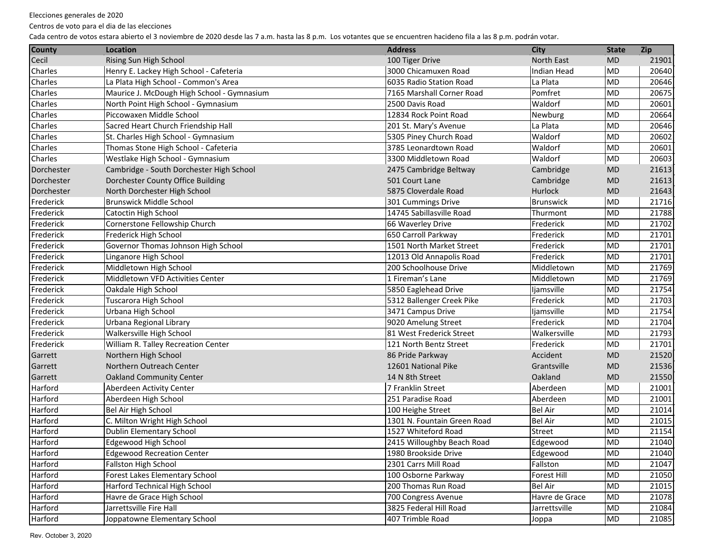Centros de voto para el dia de las elecciones

| Rising Sun High School<br>100 Tiger Drive<br>North East<br><b>MD</b><br>21901<br>Indian Head<br>MD<br>20640<br>Henry E. Lackey High School - Cafeteria<br>3000 Chicamuxen Road<br>La Plata High School - Common's Area<br>6035 Radio Station Road<br>La Plata<br><b>MD</b><br>20646<br>Pomfret<br>Maurice J. McDough High School - Gymnasium<br>7165 Marshall Corner Road<br>MD<br>20675<br>Waldorf<br>North Point High School - Gymnasium<br>2500 Davis Road<br>MD<br>20601<br>Piccowaxen Middle School<br>12834 Rock Point Road<br>MD<br>20664<br>Newburg<br>Sacred Heart Church Friendship Hall<br>201 St. Mary's Avenue<br>La Plata<br>MD<br>20646<br>5305 Piney Church Road<br>Waldorf<br>MD<br>20602<br>St. Charles High School - Gymnasium<br>3785 Leonardtown Road<br>Waldorf<br>MD<br>20601<br>Thomas Stone High School - Cafeteria<br>3300 Middletown Road<br>Westlake High School - Gymnasium<br>Waldorf<br>MD<br>20603<br>Cambridge - South Dorchester High School<br>21613<br>2475 Cambridge Beltway<br>Cambridge<br><b>MD</b><br>Dorchester County Office Building<br>501 Court Lane<br>Cambridge<br><b>MD</b><br>21613<br>5875 Cloverdale Road<br>Hurlock<br>North Dorchester High School<br><b>MD</b><br>21643<br><b>Brunswick</b><br><b>MD</b><br><b>Brunswick Middle School</b><br>301 Cummings Drive<br>21716<br>21788<br>Catoctin High School<br>14745 Sabillasville Road<br>Thurmont<br>MD<br>Frederick<br><b>MD</b><br>21702<br>Cornerstone Fellowship Church<br>66 Waverley Drive<br>Frederick High School<br>Frederick<br><b>MD</b><br>21701<br>650 Carroll Parkway<br>Governor Thomas Johnson High School<br>1501 North Market Street<br>Frederick<br>21701<br>MD<br>Linganore High School<br>Frederick<br><b>MD</b><br>21701<br>12013 Old Annapolis Road<br>200 Schoolhouse Drive<br>Middletown<br>21769<br>Middletown High School<br><b>MD</b><br>Middletown VFD Activities Center<br>1 Fireman's Lane<br>Middletown<br>21769<br><b>MD</b><br>5850 Eaglehead Drive<br>21754<br>Oakdale High School<br>liamsville<br>MD<br>5312 Ballenger Creek Pike<br>Frederick<br>21703<br>Tuscarora High School<br>MD<br>Urbana High School<br>3471 Campus Drive<br>MD<br>21754<br>ljamsville<br>Urbana Regional Library<br>9020 Amelung Street<br>Frederick<br>MD<br>21704<br>Walkersville<br>Walkersville High School<br>81 West Frederick Street<br>MD<br>21793<br>21701<br>William R. Talley Recreation Center<br>121 North Bentz Street<br>Frederick<br>MD<br>Northern High School<br>Accident<br>21520<br>86 Pride Parkway<br><b>MD</b><br>Northern Outreach Center<br>Grantsville<br>21536<br>12601 National Pike<br><b>MD</b><br>14 N 8th Street<br>Oakland<br><b>MD</b><br>21550<br><b>Oakland Community Center</b><br>Aberdeen<br><b>MD</b><br>7 Franklin Street<br>Aberdeen Activity Center<br>21001<br>251 Paradise Road<br>Aberdeen<br><b>MD</b><br>21001<br>Aberdeen High School<br><b>Bel Air</b><br><b>MD</b><br>21014<br>Bel Air High School<br>100 Heighe Street<br><b>Bel Air</b><br><b>MD</b><br>21015<br>C. Milton Wright High School<br>1301 N. Fountain Green Road<br>Dublin Elementary School<br>1527 Whiteford Road<br><b>MD</b><br>21154<br>Street<br>MD<br>21040<br>Harford<br>Edgewood High School<br>2415 Willoughby Beach Road<br>Edgewood<br>Harford<br><b>Edgewood Recreation Center</b><br>Edgewood<br>MD<br>1980 Brookside Drive<br>21040<br>Harford<br>Fallston<br>Fallston High School<br>2301 Carrs Mill Road<br>MD<br>21047<br>Harford<br>Forest Lakes Elementary School<br>100 Osborne Parkway<br>Forest Hill<br>MD<br>21050<br>Harford<br>Harford Technical High School<br>200 Thomas Run Road<br><b>Bel Air</b><br>MD<br>21015<br>Harford<br>Havre de Grace High School<br>700 Congress Avenue<br>MD<br>21078<br>Havre de Grace<br>Harford<br>3825 Federal Hill Road<br>Jarrettsville Fire Hall<br>Jarrettsville<br>MD<br>21084 | <b>County</b>  | Location | <b>Address</b> | <b>City</b> | <b>State</b> | <b>Zip</b> |
|----------------------------------------------------------------------------------------------------------------------------------------------------------------------------------------------------------------------------------------------------------------------------------------------------------------------------------------------------------------------------------------------------------------------------------------------------------------------------------------------------------------------------------------------------------------------------------------------------------------------------------------------------------------------------------------------------------------------------------------------------------------------------------------------------------------------------------------------------------------------------------------------------------------------------------------------------------------------------------------------------------------------------------------------------------------------------------------------------------------------------------------------------------------------------------------------------------------------------------------------------------------------------------------------------------------------------------------------------------------------------------------------------------------------------------------------------------------------------------------------------------------------------------------------------------------------------------------------------------------------------------------------------------------------------------------------------------------------------------------------------------------------------------------------------------------------------------------------------------------------------------------------------------------------------------------------------------------------------------------------------------------------------------------------------------------------------------------------------------------------------------------------------------------------------------------------------------------------------------------------------------------------------------------------------------------------------------------------------------------------------------------------------------------------------------------------------------------------------------------------------------------------------------------------------------------------------------------------------------------------------------------------------------------------------------------------------------------------------------------------------------------------------------------------------------------------------------------------------------------------------------------------------------------------------------------------------------------------------------------------------------------------------------------------------------------------------------------------------------------------------------------------------------------------------------------------------------------------------------------------------------------------------------------------------------------------------------------------------------------------------------------------------------------------------------------------------------------------------------------------------------------------------------------------------------------------------------------------------------------------------------------------------------------------------------------------------------------------------------------------------------------------------------------------------------------------------------------------------------------------------------------|----------------|----------|----------------|-------------|--------------|------------|
|                                                                                                                                                                                                                                                                                                                                                                                                                                                                                                                                                                                                                                                                                                                                                                                                                                                                                                                                                                                                                                                                                                                                                                                                                                                                                                                                                                                                                                                                                                                                                                                                                                                                                                                                                                                                                                                                                                                                                                                                                                                                                                                                                                                                                                                                                                                                                                                                                                                                                                                                                                                                                                                                                                                                                                                                                                                                                                                                                                                                                                                                                                                                                                                                                                                                                                                                                                                                                                                                                                                                                                                                                                                                                                                                                                                                                                                                                        | Cecil          |          |                |             |              |            |
|                                                                                                                                                                                                                                                                                                                                                                                                                                                                                                                                                                                                                                                                                                                                                                                                                                                                                                                                                                                                                                                                                                                                                                                                                                                                                                                                                                                                                                                                                                                                                                                                                                                                                                                                                                                                                                                                                                                                                                                                                                                                                                                                                                                                                                                                                                                                                                                                                                                                                                                                                                                                                                                                                                                                                                                                                                                                                                                                                                                                                                                                                                                                                                                                                                                                                                                                                                                                                                                                                                                                                                                                                                                                                                                                                                                                                                                                                        | Charles        |          |                |             |              |            |
|                                                                                                                                                                                                                                                                                                                                                                                                                                                                                                                                                                                                                                                                                                                                                                                                                                                                                                                                                                                                                                                                                                                                                                                                                                                                                                                                                                                                                                                                                                                                                                                                                                                                                                                                                                                                                                                                                                                                                                                                                                                                                                                                                                                                                                                                                                                                                                                                                                                                                                                                                                                                                                                                                                                                                                                                                                                                                                                                                                                                                                                                                                                                                                                                                                                                                                                                                                                                                                                                                                                                                                                                                                                                                                                                                                                                                                                                                        | Charles        |          |                |             |              |            |
|                                                                                                                                                                                                                                                                                                                                                                                                                                                                                                                                                                                                                                                                                                                                                                                                                                                                                                                                                                                                                                                                                                                                                                                                                                                                                                                                                                                                                                                                                                                                                                                                                                                                                                                                                                                                                                                                                                                                                                                                                                                                                                                                                                                                                                                                                                                                                                                                                                                                                                                                                                                                                                                                                                                                                                                                                                                                                                                                                                                                                                                                                                                                                                                                                                                                                                                                                                                                                                                                                                                                                                                                                                                                                                                                                                                                                                                                                        | Charles        |          |                |             |              |            |
|                                                                                                                                                                                                                                                                                                                                                                                                                                                                                                                                                                                                                                                                                                                                                                                                                                                                                                                                                                                                                                                                                                                                                                                                                                                                                                                                                                                                                                                                                                                                                                                                                                                                                                                                                                                                                                                                                                                                                                                                                                                                                                                                                                                                                                                                                                                                                                                                                                                                                                                                                                                                                                                                                                                                                                                                                                                                                                                                                                                                                                                                                                                                                                                                                                                                                                                                                                                                                                                                                                                                                                                                                                                                                                                                                                                                                                                                                        | Charles        |          |                |             |              |            |
|                                                                                                                                                                                                                                                                                                                                                                                                                                                                                                                                                                                                                                                                                                                                                                                                                                                                                                                                                                                                                                                                                                                                                                                                                                                                                                                                                                                                                                                                                                                                                                                                                                                                                                                                                                                                                                                                                                                                                                                                                                                                                                                                                                                                                                                                                                                                                                                                                                                                                                                                                                                                                                                                                                                                                                                                                                                                                                                                                                                                                                                                                                                                                                                                                                                                                                                                                                                                                                                                                                                                                                                                                                                                                                                                                                                                                                                                                        | Charles        |          |                |             |              |            |
|                                                                                                                                                                                                                                                                                                                                                                                                                                                                                                                                                                                                                                                                                                                                                                                                                                                                                                                                                                                                                                                                                                                                                                                                                                                                                                                                                                                                                                                                                                                                                                                                                                                                                                                                                                                                                                                                                                                                                                                                                                                                                                                                                                                                                                                                                                                                                                                                                                                                                                                                                                                                                                                                                                                                                                                                                                                                                                                                                                                                                                                                                                                                                                                                                                                                                                                                                                                                                                                                                                                                                                                                                                                                                                                                                                                                                                                                                        | Charles        |          |                |             |              |            |
|                                                                                                                                                                                                                                                                                                                                                                                                                                                                                                                                                                                                                                                                                                                                                                                                                                                                                                                                                                                                                                                                                                                                                                                                                                                                                                                                                                                                                                                                                                                                                                                                                                                                                                                                                                                                                                                                                                                                                                                                                                                                                                                                                                                                                                                                                                                                                                                                                                                                                                                                                                                                                                                                                                                                                                                                                                                                                                                                                                                                                                                                                                                                                                                                                                                                                                                                                                                                                                                                                                                                                                                                                                                                                                                                                                                                                                                                                        | Charles        |          |                |             |              |            |
|                                                                                                                                                                                                                                                                                                                                                                                                                                                                                                                                                                                                                                                                                                                                                                                                                                                                                                                                                                                                                                                                                                                                                                                                                                                                                                                                                                                                                                                                                                                                                                                                                                                                                                                                                                                                                                                                                                                                                                                                                                                                                                                                                                                                                                                                                                                                                                                                                                                                                                                                                                                                                                                                                                                                                                                                                                                                                                                                                                                                                                                                                                                                                                                                                                                                                                                                                                                                                                                                                                                                                                                                                                                                                                                                                                                                                                                                                        | Charles        |          |                |             |              |            |
|                                                                                                                                                                                                                                                                                                                                                                                                                                                                                                                                                                                                                                                                                                                                                                                                                                                                                                                                                                                                                                                                                                                                                                                                                                                                                                                                                                                                                                                                                                                                                                                                                                                                                                                                                                                                                                                                                                                                                                                                                                                                                                                                                                                                                                                                                                                                                                                                                                                                                                                                                                                                                                                                                                                                                                                                                                                                                                                                                                                                                                                                                                                                                                                                                                                                                                                                                                                                                                                                                                                                                                                                                                                                                                                                                                                                                                                                                        | <b>Charles</b> |          |                |             |              |            |
|                                                                                                                                                                                                                                                                                                                                                                                                                                                                                                                                                                                                                                                                                                                                                                                                                                                                                                                                                                                                                                                                                                                                                                                                                                                                                                                                                                                                                                                                                                                                                                                                                                                                                                                                                                                                                                                                                                                                                                                                                                                                                                                                                                                                                                                                                                                                                                                                                                                                                                                                                                                                                                                                                                                                                                                                                                                                                                                                                                                                                                                                                                                                                                                                                                                                                                                                                                                                                                                                                                                                                                                                                                                                                                                                                                                                                                                                                        | Dorchester     |          |                |             |              |            |
|                                                                                                                                                                                                                                                                                                                                                                                                                                                                                                                                                                                                                                                                                                                                                                                                                                                                                                                                                                                                                                                                                                                                                                                                                                                                                                                                                                                                                                                                                                                                                                                                                                                                                                                                                                                                                                                                                                                                                                                                                                                                                                                                                                                                                                                                                                                                                                                                                                                                                                                                                                                                                                                                                                                                                                                                                                                                                                                                                                                                                                                                                                                                                                                                                                                                                                                                                                                                                                                                                                                                                                                                                                                                                                                                                                                                                                                                                        | Dorchester     |          |                |             |              |            |
|                                                                                                                                                                                                                                                                                                                                                                                                                                                                                                                                                                                                                                                                                                                                                                                                                                                                                                                                                                                                                                                                                                                                                                                                                                                                                                                                                                                                                                                                                                                                                                                                                                                                                                                                                                                                                                                                                                                                                                                                                                                                                                                                                                                                                                                                                                                                                                                                                                                                                                                                                                                                                                                                                                                                                                                                                                                                                                                                                                                                                                                                                                                                                                                                                                                                                                                                                                                                                                                                                                                                                                                                                                                                                                                                                                                                                                                                                        | Dorchester     |          |                |             |              |            |
|                                                                                                                                                                                                                                                                                                                                                                                                                                                                                                                                                                                                                                                                                                                                                                                                                                                                                                                                                                                                                                                                                                                                                                                                                                                                                                                                                                                                                                                                                                                                                                                                                                                                                                                                                                                                                                                                                                                                                                                                                                                                                                                                                                                                                                                                                                                                                                                                                                                                                                                                                                                                                                                                                                                                                                                                                                                                                                                                                                                                                                                                                                                                                                                                                                                                                                                                                                                                                                                                                                                                                                                                                                                                                                                                                                                                                                                                                        | Frederick      |          |                |             |              |            |
|                                                                                                                                                                                                                                                                                                                                                                                                                                                                                                                                                                                                                                                                                                                                                                                                                                                                                                                                                                                                                                                                                                                                                                                                                                                                                                                                                                                                                                                                                                                                                                                                                                                                                                                                                                                                                                                                                                                                                                                                                                                                                                                                                                                                                                                                                                                                                                                                                                                                                                                                                                                                                                                                                                                                                                                                                                                                                                                                                                                                                                                                                                                                                                                                                                                                                                                                                                                                                                                                                                                                                                                                                                                                                                                                                                                                                                                                                        | Frederick      |          |                |             |              |            |
|                                                                                                                                                                                                                                                                                                                                                                                                                                                                                                                                                                                                                                                                                                                                                                                                                                                                                                                                                                                                                                                                                                                                                                                                                                                                                                                                                                                                                                                                                                                                                                                                                                                                                                                                                                                                                                                                                                                                                                                                                                                                                                                                                                                                                                                                                                                                                                                                                                                                                                                                                                                                                                                                                                                                                                                                                                                                                                                                                                                                                                                                                                                                                                                                                                                                                                                                                                                                                                                                                                                                                                                                                                                                                                                                                                                                                                                                                        | Frederick      |          |                |             |              |            |
|                                                                                                                                                                                                                                                                                                                                                                                                                                                                                                                                                                                                                                                                                                                                                                                                                                                                                                                                                                                                                                                                                                                                                                                                                                                                                                                                                                                                                                                                                                                                                                                                                                                                                                                                                                                                                                                                                                                                                                                                                                                                                                                                                                                                                                                                                                                                                                                                                                                                                                                                                                                                                                                                                                                                                                                                                                                                                                                                                                                                                                                                                                                                                                                                                                                                                                                                                                                                                                                                                                                                                                                                                                                                                                                                                                                                                                                                                        | Frederick      |          |                |             |              |            |
|                                                                                                                                                                                                                                                                                                                                                                                                                                                                                                                                                                                                                                                                                                                                                                                                                                                                                                                                                                                                                                                                                                                                                                                                                                                                                                                                                                                                                                                                                                                                                                                                                                                                                                                                                                                                                                                                                                                                                                                                                                                                                                                                                                                                                                                                                                                                                                                                                                                                                                                                                                                                                                                                                                                                                                                                                                                                                                                                                                                                                                                                                                                                                                                                                                                                                                                                                                                                                                                                                                                                                                                                                                                                                                                                                                                                                                                                                        | Frederick      |          |                |             |              |            |
|                                                                                                                                                                                                                                                                                                                                                                                                                                                                                                                                                                                                                                                                                                                                                                                                                                                                                                                                                                                                                                                                                                                                                                                                                                                                                                                                                                                                                                                                                                                                                                                                                                                                                                                                                                                                                                                                                                                                                                                                                                                                                                                                                                                                                                                                                                                                                                                                                                                                                                                                                                                                                                                                                                                                                                                                                                                                                                                                                                                                                                                                                                                                                                                                                                                                                                                                                                                                                                                                                                                                                                                                                                                                                                                                                                                                                                                                                        | Frederick      |          |                |             |              |            |
|                                                                                                                                                                                                                                                                                                                                                                                                                                                                                                                                                                                                                                                                                                                                                                                                                                                                                                                                                                                                                                                                                                                                                                                                                                                                                                                                                                                                                                                                                                                                                                                                                                                                                                                                                                                                                                                                                                                                                                                                                                                                                                                                                                                                                                                                                                                                                                                                                                                                                                                                                                                                                                                                                                                                                                                                                                                                                                                                                                                                                                                                                                                                                                                                                                                                                                                                                                                                                                                                                                                                                                                                                                                                                                                                                                                                                                                                                        | Frederick      |          |                |             |              |            |
|                                                                                                                                                                                                                                                                                                                                                                                                                                                                                                                                                                                                                                                                                                                                                                                                                                                                                                                                                                                                                                                                                                                                                                                                                                                                                                                                                                                                                                                                                                                                                                                                                                                                                                                                                                                                                                                                                                                                                                                                                                                                                                                                                                                                                                                                                                                                                                                                                                                                                                                                                                                                                                                                                                                                                                                                                                                                                                                                                                                                                                                                                                                                                                                                                                                                                                                                                                                                                                                                                                                                                                                                                                                                                                                                                                                                                                                                                        | Frederick      |          |                |             |              |            |
|                                                                                                                                                                                                                                                                                                                                                                                                                                                                                                                                                                                                                                                                                                                                                                                                                                                                                                                                                                                                                                                                                                                                                                                                                                                                                                                                                                                                                                                                                                                                                                                                                                                                                                                                                                                                                                                                                                                                                                                                                                                                                                                                                                                                                                                                                                                                                                                                                                                                                                                                                                                                                                                                                                                                                                                                                                                                                                                                                                                                                                                                                                                                                                                                                                                                                                                                                                                                                                                                                                                                                                                                                                                                                                                                                                                                                                                                                        | Frederick      |          |                |             |              |            |
|                                                                                                                                                                                                                                                                                                                                                                                                                                                                                                                                                                                                                                                                                                                                                                                                                                                                                                                                                                                                                                                                                                                                                                                                                                                                                                                                                                                                                                                                                                                                                                                                                                                                                                                                                                                                                                                                                                                                                                                                                                                                                                                                                                                                                                                                                                                                                                                                                                                                                                                                                                                                                                                                                                                                                                                                                                                                                                                                                                                                                                                                                                                                                                                                                                                                                                                                                                                                                                                                                                                                                                                                                                                                                                                                                                                                                                                                                        | Frederick      |          |                |             |              |            |
|                                                                                                                                                                                                                                                                                                                                                                                                                                                                                                                                                                                                                                                                                                                                                                                                                                                                                                                                                                                                                                                                                                                                                                                                                                                                                                                                                                                                                                                                                                                                                                                                                                                                                                                                                                                                                                                                                                                                                                                                                                                                                                                                                                                                                                                                                                                                                                                                                                                                                                                                                                                                                                                                                                                                                                                                                                                                                                                                                                                                                                                                                                                                                                                                                                                                                                                                                                                                                                                                                                                                                                                                                                                                                                                                                                                                                                                                                        | Frederick      |          |                |             |              |            |
|                                                                                                                                                                                                                                                                                                                                                                                                                                                                                                                                                                                                                                                                                                                                                                                                                                                                                                                                                                                                                                                                                                                                                                                                                                                                                                                                                                                                                                                                                                                                                                                                                                                                                                                                                                                                                                                                                                                                                                                                                                                                                                                                                                                                                                                                                                                                                                                                                                                                                                                                                                                                                                                                                                                                                                                                                                                                                                                                                                                                                                                                                                                                                                                                                                                                                                                                                                                                                                                                                                                                                                                                                                                                                                                                                                                                                                                                                        | Frederick      |          |                |             |              |            |
|                                                                                                                                                                                                                                                                                                                                                                                                                                                                                                                                                                                                                                                                                                                                                                                                                                                                                                                                                                                                                                                                                                                                                                                                                                                                                                                                                                                                                                                                                                                                                                                                                                                                                                                                                                                                                                                                                                                                                                                                                                                                                                                                                                                                                                                                                                                                                                                                                                                                                                                                                                                                                                                                                                                                                                                                                                                                                                                                                                                                                                                                                                                                                                                                                                                                                                                                                                                                                                                                                                                                                                                                                                                                                                                                                                                                                                                                                        | Frederick      |          |                |             |              |            |
|                                                                                                                                                                                                                                                                                                                                                                                                                                                                                                                                                                                                                                                                                                                                                                                                                                                                                                                                                                                                                                                                                                                                                                                                                                                                                                                                                                                                                                                                                                                                                                                                                                                                                                                                                                                                                                                                                                                                                                                                                                                                                                                                                                                                                                                                                                                                                                                                                                                                                                                                                                                                                                                                                                                                                                                                                                                                                                                                                                                                                                                                                                                                                                                                                                                                                                                                                                                                                                                                                                                                                                                                                                                                                                                                                                                                                                                                                        | Frederick      |          |                |             |              |            |
|                                                                                                                                                                                                                                                                                                                                                                                                                                                                                                                                                                                                                                                                                                                                                                                                                                                                                                                                                                                                                                                                                                                                                                                                                                                                                                                                                                                                                                                                                                                                                                                                                                                                                                                                                                                                                                                                                                                                                                                                                                                                                                                                                                                                                                                                                                                                                                                                                                                                                                                                                                                                                                                                                                                                                                                                                                                                                                                                                                                                                                                                                                                                                                                                                                                                                                                                                                                                                                                                                                                                                                                                                                                                                                                                                                                                                                                                                        | Garrett        |          |                |             |              |            |
|                                                                                                                                                                                                                                                                                                                                                                                                                                                                                                                                                                                                                                                                                                                                                                                                                                                                                                                                                                                                                                                                                                                                                                                                                                                                                                                                                                                                                                                                                                                                                                                                                                                                                                                                                                                                                                                                                                                                                                                                                                                                                                                                                                                                                                                                                                                                                                                                                                                                                                                                                                                                                                                                                                                                                                                                                                                                                                                                                                                                                                                                                                                                                                                                                                                                                                                                                                                                                                                                                                                                                                                                                                                                                                                                                                                                                                                                                        | Garrett        |          |                |             |              |            |
|                                                                                                                                                                                                                                                                                                                                                                                                                                                                                                                                                                                                                                                                                                                                                                                                                                                                                                                                                                                                                                                                                                                                                                                                                                                                                                                                                                                                                                                                                                                                                                                                                                                                                                                                                                                                                                                                                                                                                                                                                                                                                                                                                                                                                                                                                                                                                                                                                                                                                                                                                                                                                                                                                                                                                                                                                                                                                                                                                                                                                                                                                                                                                                                                                                                                                                                                                                                                                                                                                                                                                                                                                                                                                                                                                                                                                                                                                        | Garrett        |          |                |             |              |            |
|                                                                                                                                                                                                                                                                                                                                                                                                                                                                                                                                                                                                                                                                                                                                                                                                                                                                                                                                                                                                                                                                                                                                                                                                                                                                                                                                                                                                                                                                                                                                                                                                                                                                                                                                                                                                                                                                                                                                                                                                                                                                                                                                                                                                                                                                                                                                                                                                                                                                                                                                                                                                                                                                                                                                                                                                                                                                                                                                                                                                                                                                                                                                                                                                                                                                                                                                                                                                                                                                                                                                                                                                                                                                                                                                                                                                                                                                                        | Harford        |          |                |             |              |            |
|                                                                                                                                                                                                                                                                                                                                                                                                                                                                                                                                                                                                                                                                                                                                                                                                                                                                                                                                                                                                                                                                                                                                                                                                                                                                                                                                                                                                                                                                                                                                                                                                                                                                                                                                                                                                                                                                                                                                                                                                                                                                                                                                                                                                                                                                                                                                                                                                                                                                                                                                                                                                                                                                                                                                                                                                                                                                                                                                                                                                                                                                                                                                                                                                                                                                                                                                                                                                                                                                                                                                                                                                                                                                                                                                                                                                                                                                                        | Harford        |          |                |             |              |            |
|                                                                                                                                                                                                                                                                                                                                                                                                                                                                                                                                                                                                                                                                                                                                                                                                                                                                                                                                                                                                                                                                                                                                                                                                                                                                                                                                                                                                                                                                                                                                                                                                                                                                                                                                                                                                                                                                                                                                                                                                                                                                                                                                                                                                                                                                                                                                                                                                                                                                                                                                                                                                                                                                                                                                                                                                                                                                                                                                                                                                                                                                                                                                                                                                                                                                                                                                                                                                                                                                                                                                                                                                                                                                                                                                                                                                                                                                                        | Harford        |          |                |             |              |            |
|                                                                                                                                                                                                                                                                                                                                                                                                                                                                                                                                                                                                                                                                                                                                                                                                                                                                                                                                                                                                                                                                                                                                                                                                                                                                                                                                                                                                                                                                                                                                                                                                                                                                                                                                                                                                                                                                                                                                                                                                                                                                                                                                                                                                                                                                                                                                                                                                                                                                                                                                                                                                                                                                                                                                                                                                                                                                                                                                                                                                                                                                                                                                                                                                                                                                                                                                                                                                                                                                                                                                                                                                                                                                                                                                                                                                                                                                                        | Harford        |          |                |             |              |            |
|                                                                                                                                                                                                                                                                                                                                                                                                                                                                                                                                                                                                                                                                                                                                                                                                                                                                                                                                                                                                                                                                                                                                                                                                                                                                                                                                                                                                                                                                                                                                                                                                                                                                                                                                                                                                                                                                                                                                                                                                                                                                                                                                                                                                                                                                                                                                                                                                                                                                                                                                                                                                                                                                                                                                                                                                                                                                                                                                                                                                                                                                                                                                                                                                                                                                                                                                                                                                                                                                                                                                                                                                                                                                                                                                                                                                                                                                                        | Harford        |          |                |             |              |            |
|                                                                                                                                                                                                                                                                                                                                                                                                                                                                                                                                                                                                                                                                                                                                                                                                                                                                                                                                                                                                                                                                                                                                                                                                                                                                                                                                                                                                                                                                                                                                                                                                                                                                                                                                                                                                                                                                                                                                                                                                                                                                                                                                                                                                                                                                                                                                                                                                                                                                                                                                                                                                                                                                                                                                                                                                                                                                                                                                                                                                                                                                                                                                                                                                                                                                                                                                                                                                                                                                                                                                                                                                                                                                                                                                                                                                                                                                                        |                |          |                |             |              |            |
|                                                                                                                                                                                                                                                                                                                                                                                                                                                                                                                                                                                                                                                                                                                                                                                                                                                                                                                                                                                                                                                                                                                                                                                                                                                                                                                                                                                                                                                                                                                                                                                                                                                                                                                                                                                                                                                                                                                                                                                                                                                                                                                                                                                                                                                                                                                                                                                                                                                                                                                                                                                                                                                                                                                                                                                                                                                                                                                                                                                                                                                                                                                                                                                                                                                                                                                                                                                                                                                                                                                                                                                                                                                                                                                                                                                                                                                                                        |                |          |                |             |              |            |
|                                                                                                                                                                                                                                                                                                                                                                                                                                                                                                                                                                                                                                                                                                                                                                                                                                                                                                                                                                                                                                                                                                                                                                                                                                                                                                                                                                                                                                                                                                                                                                                                                                                                                                                                                                                                                                                                                                                                                                                                                                                                                                                                                                                                                                                                                                                                                                                                                                                                                                                                                                                                                                                                                                                                                                                                                                                                                                                                                                                                                                                                                                                                                                                                                                                                                                                                                                                                                                                                                                                                                                                                                                                                                                                                                                                                                                                                                        |                |          |                |             |              |            |
|                                                                                                                                                                                                                                                                                                                                                                                                                                                                                                                                                                                                                                                                                                                                                                                                                                                                                                                                                                                                                                                                                                                                                                                                                                                                                                                                                                                                                                                                                                                                                                                                                                                                                                                                                                                                                                                                                                                                                                                                                                                                                                                                                                                                                                                                                                                                                                                                                                                                                                                                                                                                                                                                                                                                                                                                                                                                                                                                                                                                                                                                                                                                                                                                                                                                                                                                                                                                                                                                                                                                                                                                                                                                                                                                                                                                                                                                                        |                |          |                |             |              |            |
|                                                                                                                                                                                                                                                                                                                                                                                                                                                                                                                                                                                                                                                                                                                                                                                                                                                                                                                                                                                                                                                                                                                                                                                                                                                                                                                                                                                                                                                                                                                                                                                                                                                                                                                                                                                                                                                                                                                                                                                                                                                                                                                                                                                                                                                                                                                                                                                                                                                                                                                                                                                                                                                                                                                                                                                                                                                                                                                                                                                                                                                                                                                                                                                                                                                                                                                                                                                                                                                                                                                                                                                                                                                                                                                                                                                                                                                                                        |                |          |                |             |              |            |
|                                                                                                                                                                                                                                                                                                                                                                                                                                                                                                                                                                                                                                                                                                                                                                                                                                                                                                                                                                                                                                                                                                                                                                                                                                                                                                                                                                                                                                                                                                                                                                                                                                                                                                                                                                                                                                                                                                                                                                                                                                                                                                                                                                                                                                                                                                                                                                                                                                                                                                                                                                                                                                                                                                                                                                                                                                                                                                                                                                                                                                                                                                                                                                                                                                                                                                                                                                                                                                                                                                                                                                                                                                                                                                                                                                                                                                                                                        |                |          |                |             |              |            |
|                                                                                                                                                                                                                                                                                                                                                                                                                                                                                                                                                                                                                                                                                                                                                                                                                                                                                                                                                                                                                                                                                                                                                                                                                                                                                                                                                                                                                                                                                                                                                                                                                                                                                                                                                                                                                                                                                                                                                                                                                                                                                                                                                                                                                                                                                                                                                                                                                                                                                                                                                                                                                                                                                                                                                                                                                                                                                                                                                                                                                                                                                                                                                                                                                                                                                                                                                                                                                                                                                                                                                                                                                                                                                                                                                                                                                                                                                        |                |          |                |             |              |            |
| 407 Trimble Road<br>Joppatowne Elementary School<br>MD<br>21085<br>Joppa                                                                                                                                                                                                                                                                                                                                                                                                                                                                                                                                                                                                                                                                                                                                                                                                                                                                                                                                                                                                                                                                                                                                                                                                                                                                                                                                                                                                                                                                                                                                                                                                                                                                                                                                                                                                                                                                                                                                                                                                                                                                                                                                                                                                                                                                                                                                                                                                                                                                                                                                                                                                                                                                                                                                                                                                                                                                                                                                                                                                                                                                                                                                                                                                                                                                                                                                                                                                                                                                                                                                                                                                                                                                                                                                                                                                               | Harford        |          |                |             |              |            |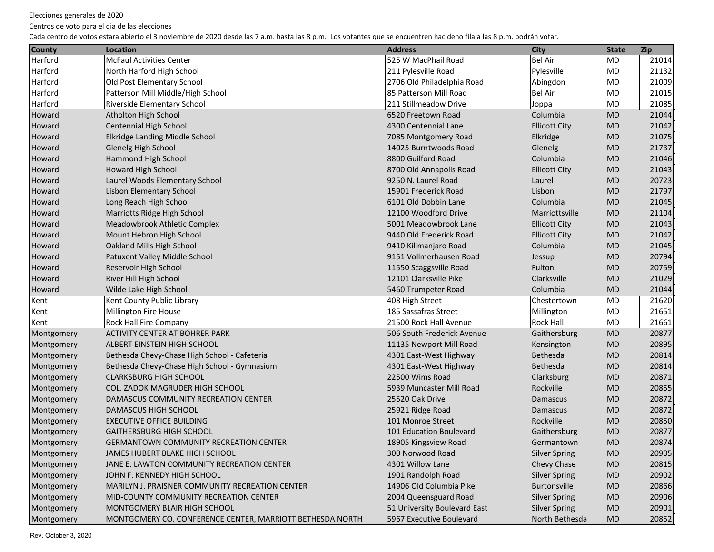Centros de voto para el dia de las elecciones

| <b>County</b> | <b>Location</b>                                           | <b>Address</b>               | <b>City</b>          | <b>State</b> | <b>Zip</b> |
|---------------|-----------------------------------------------------------|------------------------------|----------------------|--------------|------------|
| Harford       | <b>McFaul Activities Center</b>                           | 525 W MacPhail Road          | Bel Air              | MD           | 21014      |
| Harford       | North Harford High School                                 | 211 Pylesville Road          | Pylesville           | MD           | 21132      |
| Harford       | Old Post Elementary School                                | 2706 Old Philadelphia Road   | Abingdon             | MD           | 21009      |
| Harford       | Patterson Mill Middle/High School                         | 85 Patterson Mill Road       | <b>Bel Air</b>       | <b>MD</b>    | 21015      |
| Harford       | Riverside Elementary School                               | 211 Stillmeadow Drive        | Joppa                | MD           | 21085      |
| Howard        | Atholton High School                                      | 6520 Freetown Road           | Columbia             | MD           | 21044      |
| Howard        | <b>Centennial High School</b>                             | 4300 Centennial Lane         | <b>Ellicott City</b> | <b>MD</b>    | 21042      |
| Howard        | Elkridge Landing Middle School                            | 7085 Montgomery Road         | Elkridge             | <b>MD</b>    | 21075      |
| Howard        | Glenelg High School                                       | 14025 Burntwoods Road        | Glenelg              | <b>MD</b>    | 21737      |
| Howard        | Hammond High School                                       | 8800 Guilford Road           | Columbia             | <b>MD</b>    | 21046      |
| Howard        | Howard High School                                        | 8700 Old Annapolis Road      | <b>Ellicott City</b> | <b>MD</b>    | 21043      |
| Howard        | Laurel Woods Elementary School                            | 9250 N. Laurel Road          | Laurel               | <b>MD</b>    | 20723      |
| Howard        | Lisbon Elementary School                                  | 15901 Frederick Road         | Lisbon               | <b>MD</b>    | 21797      |
| Howard        | Long Reach High School                                    | 6101 Old Dobbin Lane         | Columbia             | <b>MD</b>    | 21045      |
| Howard        | Marriotts Ridge High School                               | 12100 Woodford Drive         | Marriottsville       | <b>MD</b>    | 21104      |
| Howard        | Meadowbrook Athletic Complex                              | 5001 Meadowbrook Lane        | <b>Ellicott City</b> | <b>MD</b>    | 21043      |
| Howard        | Mount Hebron High School                                  | 9440 Old Frederick Road      | <b>Ellicott City</b> | <b>MD</b>    | 21042      |
| Howard        | Oakland Mills High School                                 | 9410 Kilimanjaro Road        | Columbia             | <b>MD</b>    | 21045      |
| Howard        | Patuxent Valley Middle School                             | 9151 Vollmerhausen Road      | Jessup               | <b>MD</b>    | 20794      |
| Howard        | Reservoir High School                                     | 11550 Scaggsville Road       | Fulton               | <b>MD</b>    | 20759      |
| Howard        | River Hill High School                                    | 12101 Clarksville Pike       | Clarksville          | <b>MD</b>    | 21029      |
| Howard        | Wilde Lake High School                                    | 5460 Trumpeter Road          | Columbia             | <b>MD</b>    | 21044      |
| Kent          | Kent County Public Library                                | 408 High Street              | Chestertown          | <b>MD</b>    | 21620      |
| Kent          | Millington Fire House                                     | 185 Sassafras Street         | Millington           | MD           | 21651      |
| Kent          | Rock Hall Fire Company                                    | 21500 Rock Hall Avenue       | <b>Rock Hall</b>     | MD           | 21661      |
| Montgomery    | ACTIVITY CENTER AT BOHRER PARK                            | 506 South Frederick Avenue   | Gaithersburg         | <b>MD</b>    | 20877      |
| Montgomery    | ALBERT EINSTEIN HIGH SCHOOL                               | 11135 Newport Mill Road      | Kensington           | <b>MD</b>    | 20895      |
| Montgomery    | Bethesda Chevy-Chase High School - Cafeteria              | 4301 East-West Highway       | Bethesda             | <b>MD</b>    | 20814      |
| Montgomery    | Bethesda Chevy-Chase High School - Gymnasium              | 4301 East-West Highway       | Bethesda             | <b>MD</b>    | 20814      |
| Montgomery    | <b>CLARKSBURG HIGH SCHOOL</b>                             | 22500 Wims Road              | Clarksburg           | <b>MD</b>    | 20871      |
| Montgomery    | COL. ZADOK MAGRUDER HIGH SCHOOL                           | 5939 Muncaster Mill Road     | Rockville            | <b>MD</b>    | 20855      |
| Montgomery    | DAMASCUS COMMUNITY RECREATION CENTER                      | 25520 Oak Drive              | Damascus             | <b>MD</b>    | 20872      |
| Montgomery    | <b>DAMASCUS HIGH SCHOOL</b>                               | 25921 Ridge Road             | Damascus             | <b>MD</b>    | 20872      |
| Montgomery    | <b>EXECUTIVE OFFICE BUILDING</b>                          | 101 Monroe Street            | Rockville            | <b>MD</b>    | 20850      |
| Montgomery    | <b>GAITHERSBURG HIGH SCHOOL</b>                           | 101 Education Boulevard      | Gaithersburg         | <b>MD</b>    | 20877      |
| Montgomery    | <b>GERMANTOWN COMMUNITY RECREATION CENTER</b>             | 18905 Kingsview Road         | Germantown           | <b>MD</b>    | 20874      |
| Montgomery    | JAMES HUBERT BLAKE HIGH SCHOOL                            | 300 Norwood Road             | <b>Silver Spring</b> | <b>MD</b>    | 20905      |
| Montgomery    | JANE E. LAWTON COMMUNITY RECREATION CENTER                | 4301 Willow Lane             | Chevy Chase          | <b>MD</b>    | 20815      |
| Montgomery    | JOHN F. KENNEDY HIGH SCHOOL                               | 1901 Randolph Road           | <b>Silver Spring</b> | <b>MD</b>    | 20902      |
| Montgomery    | MARILYN J. PRAISNER COMMUNITY RECREATION CENTER           | 14906 Old Columbia Pike      | Burtonsville         | <b>MD</b>    | 20866      |
| Montgomery    | MID-COUNTY COMMUNITY RECREATION CENTER                    | 2004 Queensguard Road        | <b>Silver Spring</b> | <b>MD</b>    | 20906      |
| Montgomery    | MONTGOMERY BLAIR HIGH SCHOOL                              | 51 University Boulevard East | <b>Silver Spring</b> | <b>MD</b>    | 20901      |
| Montgomery    | MONTGOMERY CO. CONFERENCE CENTER, MARRIOTT BETHESDA NORTH | 5967 Executive Boulevard     | North Bethesda       | <b>MD</b>    | 20852      |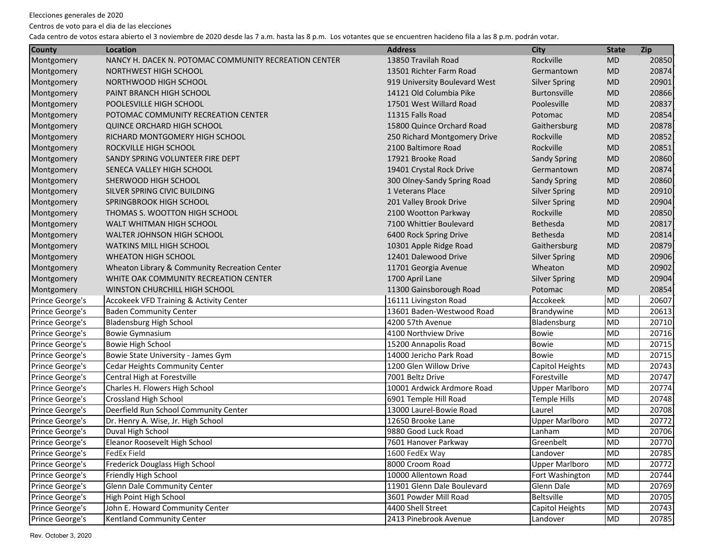Centros de voto para el dia de las elecciones

| <b>County</b>   | <b>Location</b>                                       | <b>Address</b>                | <b>City</b>           | <b>State</b> | Zip   |
|-----------------|-------------------------------------------------------|-------------------------------|-----------------------|--------------|-------|
| Montgomery      | NANCY H. DACEK N. POTOMAC COMMUNITY RECREATION CENTER | 13850 Travilah Road           | Rockville             | <b>MD</b>    | 20850 |
| Montgomery      | NORTHWEST HIGH SCHOOL                                 | 13501 Richter Farm Road       | Germantown            | <b>MD</b>    | 20874 |
| Montgomery      | NORTHWOOD HIGH SCHOOL                                 | 919 University Boulevard West | <b>Silver Spring</b>  | <b>MD</b>    | 20901 |
| Montgomery      | PAINT BRANCH HIGH SCHOOL                              | 14121 Old Columbia Pike       | <b>Burtonsville</b>   | <b>MD</b>    | 20866 |
| Montgomery      | POOLESVILLE HIGH SCHOOL                               | 17501 West Willard Road       | Poolesville           | <b>MD</b>    | 20837 |
| Montgomery      | POTOMAC COMMUNITY RECREATION CENTER                   | 11315 Falls Road              | Potomac               | <b>MD</b>    | 20854 |
| Montgomery      | <b>QUINCE ORCHARD HIGH SCHOOL</b>                     | 15800 Quince Orchard Road     | Gaithersburg          | <b>MD</b>    | 20878 |
| Montgomery      | RICHARD MONTGOMERY HIGH SCHOOL                        | 250 Richard Montgomery Drive  | Rockville             | <b>MD</b>    | 20852 |
| Montgomery      | ROCKVILLE HIGH SCHOOL                                 | 2100 Baltimore Road           | Rockville             | <b>MD</b>    | 20851 |
| Montgomery      | SANDY SPRING VOLUNTEER FIRE DEPT                      | 17921 Brooke Road             | <b>Sandy Spring</b>   | <b>MD</b>    | 20860 |
| Montgomery      | SENECA VALLEY HIGH SCHOOL                             | 19401 Crystal Rock Drive      | Germantown            | <b>MD</b>    | 20874 |
| Montgomery      | SHERWOOD HIGH SCHOOL                                  | 300 Olney-Sandy Spring Road   | <b>Sandy Spring</b>   | <b>MD</b>    | 20860 |
| Montgomery      | SILVER SPRING CIVIC BUILDING                          | 1 Veterans Place              | <b>Silver Spring</b>  | <b>MD</b>    | 20910 |
| Montgomery      | SPRINGBROOK HIGH SCHOOL                               | 201 Valley Brook Drive        | <b>Silver Spring</b>  | <b>MD</b>    | 20904 |
| Montgomery      | THOMAS S. WOOTTON HIGH SCHOOL                         | 2100 Wootton Parkway          | Rockville             | <b>MD</b>    | 20850 |
| Montgomery      | WALT WHITMAN HIGH SCHOOL                              | 7100 Whittier Boulevard       | <b>Bethesda</b>       | <b>MD</b>    | 20817 |
| Montgomery      | WALTER JOHNSON HIGH SCHOOL                            | 6400 Rock Spring Drive        | <b>Bethesda</b>       | <b>MD</b>    | 20814 |
| Montgomery      | <b>WATKINS MILL HIGH SCHOOL</b>                       | 10301 Apple Ridge Road        | Gaithersburg          | <b>MD</b>    | 20879 |
| Montgomery      | <b>WHEATON HIGH SCHOOL</b>                            | 12401 Dalewood Drive          | <b>Silver Spring</b>  | <b>MD</b>    | 20906 |
| Montgomery      | Wheaton Library & Community Recreation Center         | 11701 Georgia Avenue          | Wheaton               | <b>MD</b>    | 20902 |
| Montgomery      | WHITE OAK COMMUNITY RECREATION CENTER                 | 1700 April Lane               | <b>Silver Spring</b>  | <b>MD</b>    | 20904 |
| Montgomery      | WINSTON CHURCHILL HIGH SCHOOL                         | 11300 Gainsborough Road       | Potomac               | <b>MD</b>    | 20854 |
| Prince George's | <b>Accokeek VFD Training &amp; Activity Center</b>    | 16111 Livingston Road         | Accokeek              | MD           | 20607 |
| Prince George's | <b>Baden Community Center</b>                         | 13601 Baden-Westwood Road     | Brandywine            | MD           | 20613 |
| Prince George's | <b>Bladensburg High School</b>                        | 4200 57th Avenue              | Bladensburg           | MD           | 20710 |
| Prince George's | Bowie Gymnasium                                       | 4100 Northview Drive          | Bowie                 | lmd          | 20716 |
| Prince George's | <b>Bowie High School</b>                              | 15200 Annapolis Road          | <b>Bowie</b>          | <b>MD</b>    | 20715 |
| Prince George's | Bowie State University - James Gym                    | 14000 Jericho Park Road       | <b>Bowie</b>          | <b>MD</b>    | 20715 |
| Prince George's | Cedar Heights Community Center                        | 1200 Glen Willow Drive        | Capitol Heights       | <b>MD</b>    | 20743 |
| Prince George's | Central High at Forestville                           | 7001 Beltz Drive              | Forestville           | MD           | 20747 |
| Prince George's | Charles H. Flowers High School                        | 10001 Ardwick Ardmore Road    | <b>Upper Marlboro</b> | <b>MD</b>    | 20774 |
| Prince George's | <b>Crossland High School</b>                          | 6901 Temple Hill Road         | <b>Temple Hills</b>   | MD           | 20748 |
| Prince George's | Deerfield Run School Community Center                 | 13000 Laurel-Bowie Road       | Laurel                | MD           | 20708 |
| Prince George's | Dr. Henry A. Wise, Jr. High School                    | 12650 Brooke Lane             | <b>Upper Marlboro</b> | MD           | 20772 |
| Prince George's | Duval High School                                     | 9880 Good Luck Road           | Lanham                | <b>MD</b>    | 20706 |
| Prince George's | Eleanor Roosevelt High School                         | 7601 Hanover Parkway          | Greenbelt             | MD           | 20770 |
| Prince George's | FedEx Field                                           | 1600 FedEx Way                | Landover              | MD           | 20785 |
| Prince George's | Frederick Douglass High School                        | 8000 Croom Road               | <b>Upper Marlboro</b> | MD           | 20772 |
| Prince George's | Friendly High School                                  | 10000 Allentown Road          | Fort Washington       | MD           | 20744 |
| Prince George's | Glenn Dale Community Center                           | 11901 Glenn Dale Boulevard    | Glenn Dale            | MD           | 20769 |
| Prince George's | High Point High School                                | 3601 Powder Mill Road         | Beltsville            | MD           | 20705 |
| Prince George's | John E. Howard Community Center                       | 4400 Shell Street             | Capitol Heights       | MD           | 20743 |
| Prince George's | Kentland Community Center                             | 2413 Pinebrook Avenue         | Landover              | MD           | 20785 |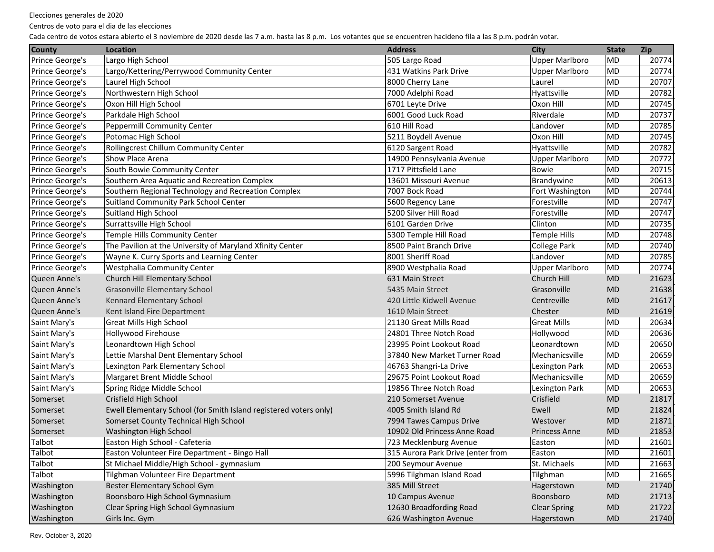Centros de voto para el dia de las elecciones

| <b>County</b>   | <b>Location</b>                                                   | <b>Address</b>                    | <b>City</b>           | <b>State</b> | Zip   |
|-----------------|-------------------------------------------------------------------|-----------------------------------|-----------------------|--------------|-------|
| Prince George's | Largo High School                                                 | 505 Largo Road                    | <b>Upper Marlboro</b> | <b>MD</b>    | 20774 |
| Prince George's | Largo/Kettering/Perrywood Community Center                        | 431 Watkins Park Drive            | <b>Upper Marlboro</b> | <b>MD</b>    | 20774 |
| Prince George's | Laurel High School                                                | 8000 Cherry Lane                  | Laurel                | MD           | 20707 |
| Prince George's | Northwestern High School                                          | 7000 Adelphi Road                 | Hyattsville           | MD           | 20782 |
| Prince George's | Oxon Hill High School                                             | 6701 Leyte Drive                  | Oxon Hill             | MD           | 20745 |
| Prince George's | Parkdale High School                                              | 6001 Good Luck Road               | Riverdale             | MD           | 20737 |
| Prince George's | <b>Peppermill Community Center</b>                                | 610 Hill Road                     | Landover              | MD           | 20785 |
| Prince George's | Potomac High School                                               | 5211 Boydell Avenue               | Oxon Hill             | MD           | 20745 |
| Prince George's | Rollingcrest Chillum Community Center                             | 6120 Sargent Road                 | Hyattsville           | MD           | 20782 |
| Prince George's | Show Place Arena                                                  | 14900 Pennsylvania Avenue         | <b>Upper Marlboro</b> | MD           | 20772 |
| Prince George's | South Bowie Community Center                                      | 1717 Pittsfield Lane              | <b>Bowie</b>          | MD           | 20715 |
| Prince George's | Southern Area Aquatic and Recreation Complex                      | 13601 Missouri Avenue             | Brandywine            | MD           | 20613 |
| Prince George's | Southern Regional Technology and Recreation Complex               | 7007 Bock Road                    | Fort Washington       | MD           | 20744 |
| Prince George's | Suitland Community Park School Center                             | 5600 Regency Lane                 | Forestville           | MD           | 20747 |
| Prince George's | Suitland High School                                              | 5200 Silver Hill Road             | Forestville           | <b>MD</b>    | 20747 |
| Prince George's | Surrattsville High School                                         | 6101 Garden Drive                 | Clinton               | <b>MD</b>    | 20735 |
| Prince George's | Temple Hills Community Center                                     | 5300 Temple Hill Road             | <b>Temple Hills</b>   | <b>MD</b>    | 20748 |
| Prince George's | The Pavilion at the University of Maryland Xfinity Center         | 8500 Paint Branch Drive           | College Park          | <b>MD</b>    | 20740 |
| Prince George's | Wayne K. Curry Sports and Learning Center                         | 8001 Sheriff Road                 | Landover              | <b>MD</b>    | 20785 |
| Prince George's | Westphalia Community Center                                       | 8900 Westphalia Road              | <b>Upper Marlboro</b> | MD           | 20774 |
| Queen Anne's    | Church Hill Elementary School                                     | 631 Main Street                   | Church Hill           | <b>MD</b>    | 21623 |
| Queen Anne's    | <b>Grasonville Elementary School</b>                              | 5435 Main Street                  | Grasonville           | <b>MD</b>    | 21638 |
| Queen Anne's    | Kennard Elementary School                                         | 420 Little Kidwell Avenue         | Centreville           | <b>MD</b>    | 21617 |
| Queen Anne's    | Kent Island Fire Department                                       | 1610 Main Street                  | Chester               | <b>MD</b>    | 21619 |
| Saint Mary's    | <b>Great Mills High School</b>                                    | 21130 Great Mills Road            | <b>Great Mills</b>    | <b>MD</b>    | 20634 |
| Saint Mary's    | Hollywood Firehouse                                               | 24801 Three Notch Road            | Hollywood             | <b>MD</b>    | 20636 |
| Saint Mary's    | Leonardtown High School                                           | 23995 Point Lookout Road          | Leonardtown           | <b>MD</b>    | 20650 |
| Saint Mary's    | Lettie Marshal Dent Elementary School                             | 37840 New Market Turner Road      | Mechanicsville        | <b>MD</b>    | 20659 |
| Saint Mary's    | Lexington Park Elementary School                                  | 46763 Shangri-La Drive            | Lexington Park        | <b>MD</b>    | 20653 |
| Saint Mary's    | Margaret Brent Middle School                                      | 29675 Point Lookout Road          | Mechanicsville        | <b>MD</b>    | 20659 |
| Saint Mary's    | Spring Ridge Middle School                                        | 19856 Three Notch Road            | Lexington Park        | MD           | 20653 |
| Somerset        | Crisfield High School                                             | 210 Somerset Avenue               | Crisfield             | <b>MD</b>    | 21817 |
| Somerset        | Ewell Elementary School (for Smith Island registered voters only) | 4005 Smith Island Rd              | Ewell                 | <b>MD</b>    | 21824 |
| Somerset        | Somerset County Technical High School                             | 7994 Tawes Campus Drive           | Westover              | <b>MD</b>    | 21871 |
| Somerset        | Washington High School                                            | 10902 Old Princess Anne Road      | <b>Princess Anne</b>  | <b>MD</b>    | 21853 |
| Talbot          | Easton High School - Cafeteria                                    | 723 Mecklenburg Avenue            | Easton                | <b>MD</b>    | 21601 |
| Talbot          | Easton Volunteer Fire Department - Bingo Hall                     | 315 Aurora Park Drive (enter from | Easton                | MD           | 21601 |
| Talbot          | St Michael Middle/High School - gymnasium                         | 200 Seymour Avenue                | St. Michaels          | MD           | 21663 |
| Talbot          | Tilghman Volunteer Fire Department                                | 5996 Tilghman Island Road         | Tilghman              | MD           | 21665 |
| Washington      | Bester Elementary School Gym                                      | 385 Mill Street                   | Hagerstown            | MD           | 21740 |
| Washington      | Boonsboro High School Gymnasium                                   | 10 Campus Avenue                  | Boonsboro             | <b>MD</b>    | 21713 |
| Washington      | Clear Spring High School Gymnasium                                | 12630 Broadfording Road           | <b>Clear Spring</b>   | MD           | 21722 |
| Washington      | Girls Inc. Gym                                                    | 626 Washington Avenue             | Hagerstown            | MD           | 21740 |